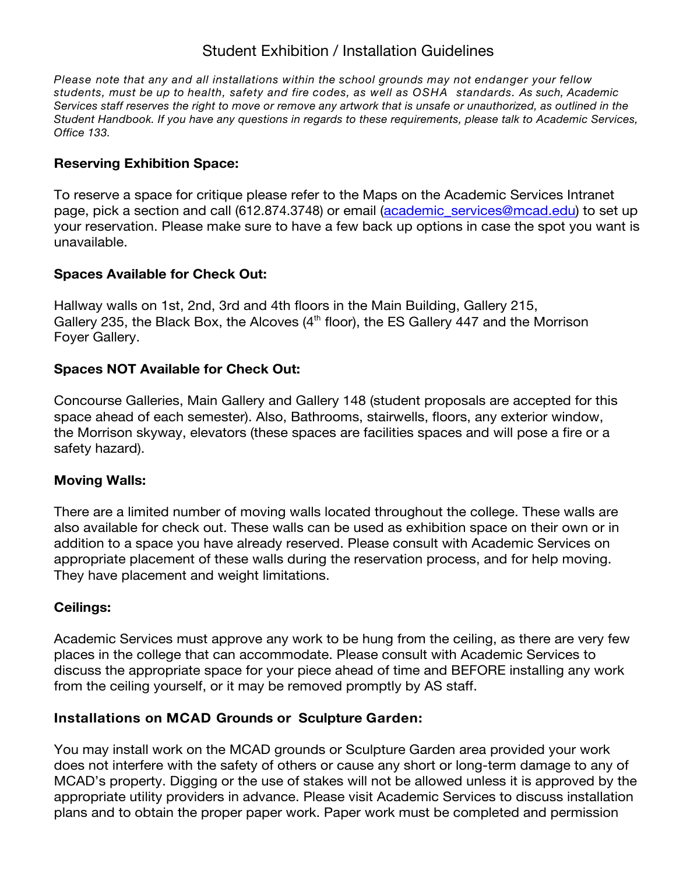# Student Exhibition / Installation Guidelines

*Please note that any and all installations within the school grounds may not endanger your fellow students, must be up to health, safety and fire codes, as well as OSHA standards. As such, Academic Services staff reserves the right to move or remove any artwork that is unsafe or unauthorized, as outlined in the Student Handbook. If you have any questions in regards to these requirements, please talk to Academic Services, Office 133.*

# **Reserving Exhibition Space:**

To reserve a space for critique please refer to the Maps on the Academic Services Intranet page, pick a section and call (612.874.3748) or email (academic\_services@mcad.edu) to set up your reservation. Please make sure to have a few back up options in case the spot you want is unavailable.

#### **Spaces Available for Check Out:**

Hallway walls on 1st, 2nd, 3rd and 4th floors in the Main Building, Gallery 215, Gallery 235, the Black Box, the Alcoves  $(4<sup>th</sup>$  floor), the ES Gallery 447 and the Morrison Foyer Gallery.

#### **Spaces NOT Available for Check Out:**

Concourse Galleries, Main Gallery and Gallery 148 (student proposals are accepted for this space ahead of each semester). Also, Bathrooms, stairwells, floors, any exterior window, the Morrison skyway, elevators (these spaces are facilities spaces and will pose a fire or a safety hazard).

#### **Moving Walls:**

There are a limited number of moving walls located throughout the college. These walls are also available for check out. These walls can be used as exhibition space on their own or in addition to a space you have already reserved. Please consult with Academic Services on appropriate placement of these walls during the reservation process, and for help moving. They have placement and weight limitations.

# **Ceilings:**

Academic Services must approve any work to be hung from the ceiling, as there are very few places in the college that can accommodate. Please consult with Academic Services to discuss the appropriate space for your piece ahead of time and BEFORE installing any work from the ceiling yourself, or it may be removed promptly by AS staff.

# **Installations on MCAD Grounds or Sculpture Garden:**

You may install work on the MCAD grounds or Sculpture Garden area provided your work does not interfere with the safety of others or cause any short or long-term damage to any of MCAD's property. Digging or the use of stakes will not be allowed unless it is approved by the appropriate utility providers in advance. Please visit Academic Services to discuss installation plans and to obtain the proper paper work. Paper work must be completed and permission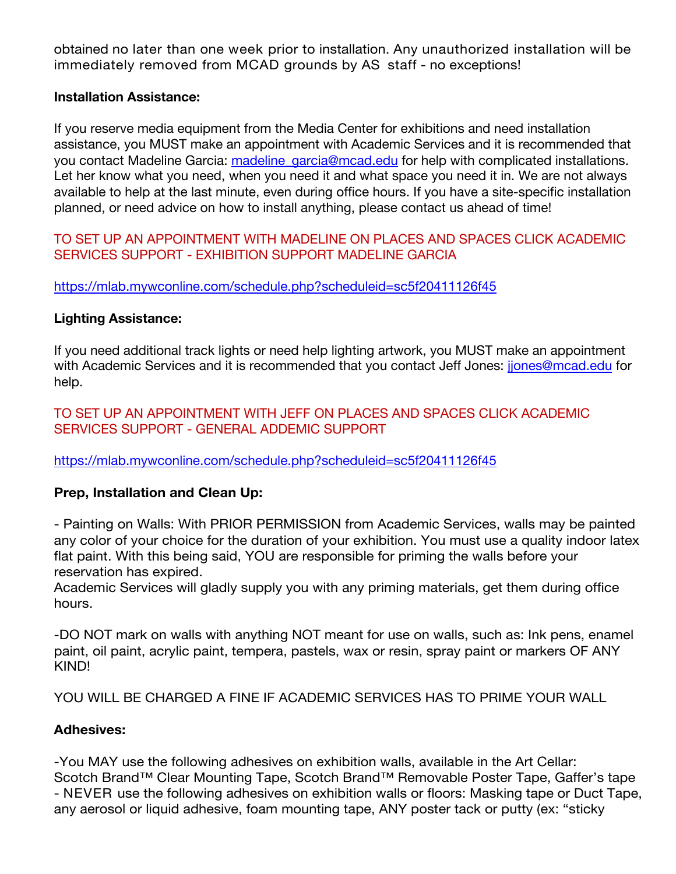obtained no later than one week prior to installation. Any unauthorized installation will be immediately removed from MCAD grounds by AS staff - no exceptions!

#### **Installation Assistance:**

If you reserve media equipment from the Media Center for exhibitions and need installation assistance, you MUST make an appointment with Academic Services and it is recommended that you contact Madeline Garcia: madeline garcia@mcad.edu for help with complicated installations. Let her know what you need, when you need it and what space you need it in. We are not always available to help at the last minute, even during office hours. If you have a site-specific installation planned, or need advice on how to install anything, please contact us ahead of time!

TO SET UP AN APPOINTMENT WITH MADELINE ON PLACES AND SPACES CLICK ACADEMIC SERVICES SUPPORT - EXHIBITION SUPPORT MADELINE GARCIA

https://mlab.mywconline.com/schedule.php?scheduleid=sc5f20411126f45

#### **Lighting Assistance:**

If you need additional track lights or need help lighting artwork, you MUST make an appointment with Academic Services and it is recommended that you contact Jeff Jones: jones@mcad.edu for help.

TO SET UP AN APPOINTMENT WITH JEFF ON PLACES AND SPACES CLICK ACADEMIC SERVICES SUPPORT - GENERAL ADDEMIC SUPPORT

https://mlab.mywconline.com/schedule.php?scheduleid=sc5f20411126f45

# **Prep, Installation and Clean Up:**

- Painting on Walls: With PRIOR PERMISSION from Academic Services, walls may be painted any color of your choice for the duration of your exhibition. You must use a quality indoor latex flat paint. With this being said, YOU are responsible for priming the walls before your reservation has expired.

Academic Services will gladly supply you with any priming materials, get them during office hours.

-DO NOT mark on walls with anything NOT meant for use on walls, such as: Ink pens, enamel paint, oil paint, acrylic paint, tempera, pastels, wax or resin, spray paint or markers OF ANY KIND!

YOU WILL BE CHARGED A FINE IF ACADEMIC SERVICES HAS TO PRIME YOUR WALL

# **Adhesives:**

-You MAY use the following adhesives on exhibition walls, available in the Art Cellar: Scotch Brand™ Clear Mounting Tape, Scotch Brand™ Removable Poster Tape, Gaffer's tape - NEVER use the following adhesives on exhibition walls or floors: Masking tape or Duct Tape, any aerosol or liquid adhesive, foam mounting tape, ANY poster tack or putty (ex: "sticky